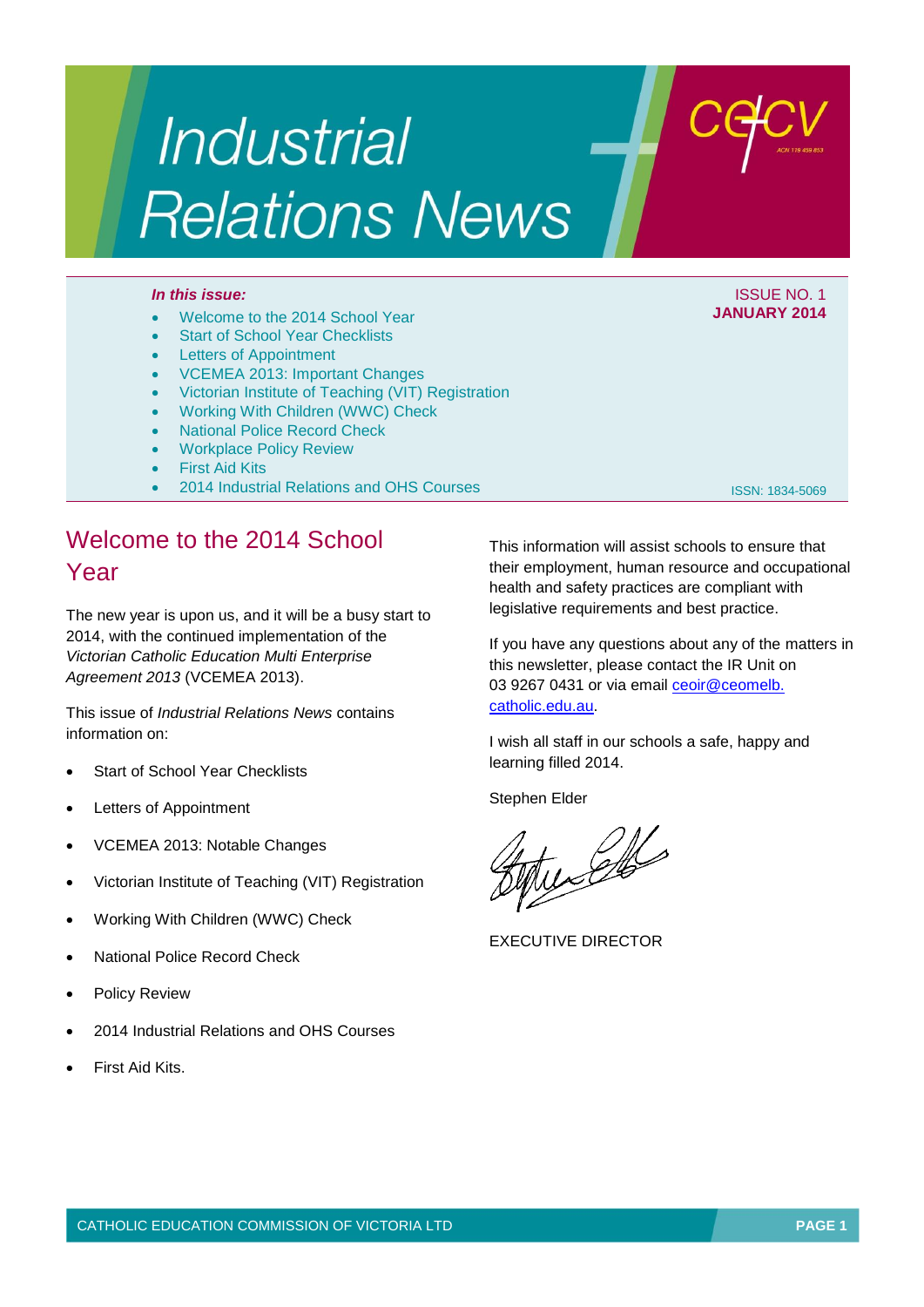# **Industrial Relations News**

- Welcome to the 2014 School Year
- Start of School Year Checklists
- Letters of Appointment
- VCEMEA 2013: Important Changes
- Victorian Institute of Teaching (VIT) Registration
- Working With Children (WWC) Check
- National Police Record Check
- Workplace Policy Review
- First Aid Kits
- 2014 Industrial Relations and OHS Courses

## Welcome to the 2014 School Year

The new year is upon us, and it will be a busy start to 2014, with the continued implementation of the *Victorian Catholic Education Multi Enterprise Agreement 2013* (VCEMEA 2013).

This issue of *Industrial Relations News* contains information on:

- Start of School Year Checklists
- Letters of Appointment
- VCEMEA 2013: Notable Changes
- Victorian Institute of Teaching (VIT) Registration
- Working With Children (WWC) Check
- National Police Record Check
- Policy Review
- 2014 Industrial Relations and OHS Courses
- First Aid Kits.

This information will assist schools to ensure that their employment, human resource and occupational health and safety practices are compliant with legislative requirements and best practice.

If you have any questions about any of the matters in this newsletter, please contact the IR Unit on 03 9267 0431 or via email ceoir@ceomelb. [catholic.edu.au.](mailto:ceoir@ceomelb.catholic.edu.au)

I wish all staff in our schools a safe, happy and learning filled 2014.

Stephen Elder

well

EXECUTIVE DIRECTOR

ISSN: 1834-5069



**JANUARY 2014**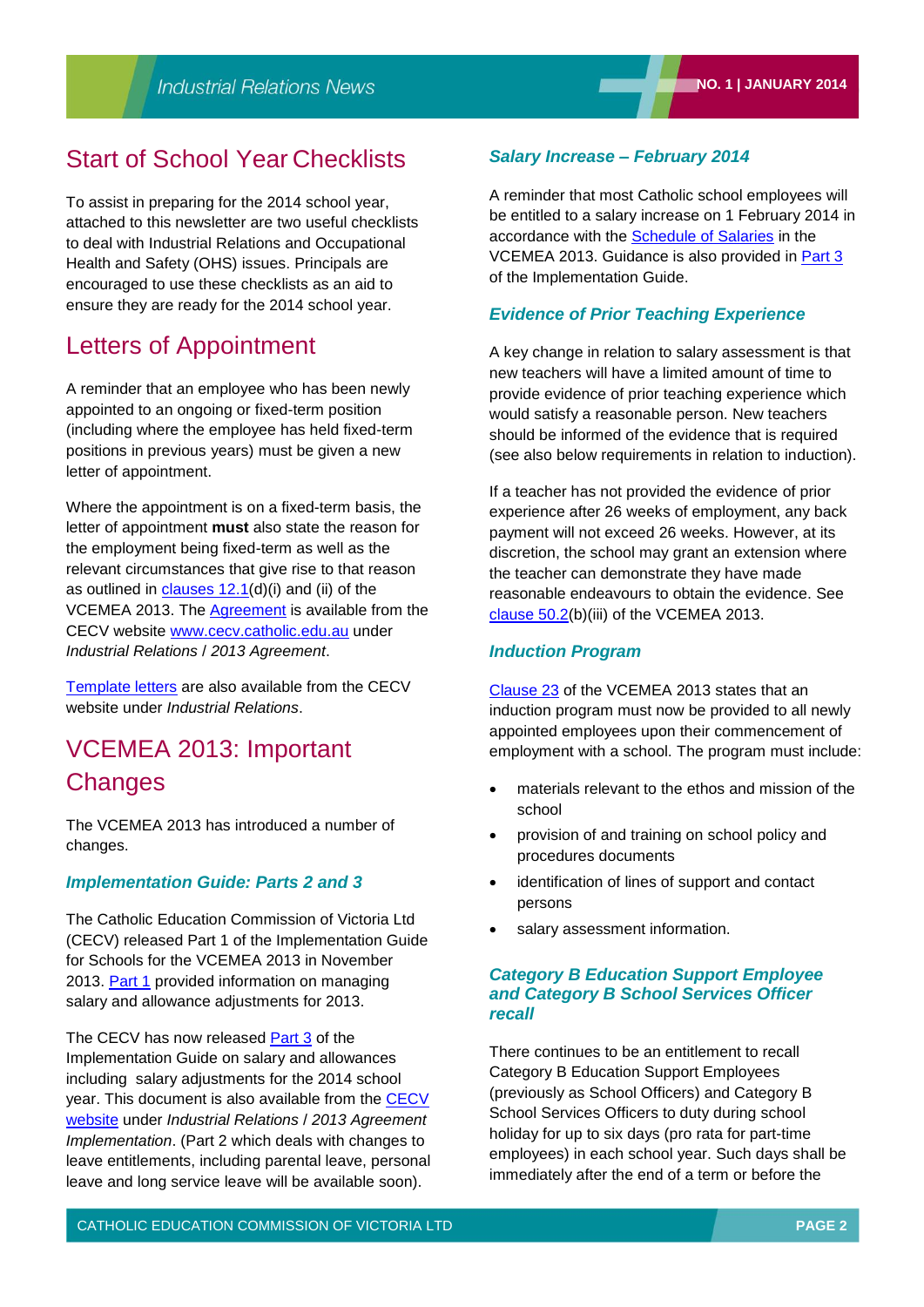## Start of School Year Checklists

To assist in preparing for the 2014 school year, attached to this newsletter are two useful checklists to deal with Industrial Relations and Occupational Health and Safety (OHS) issues. Principals are encouraged to use these checklists as an aid to ensure they are ready for the 2014 school year.

## Letters of Appointment

A reminder that an employee who has been newly appointed to an ongoing or fixed-term position (including where the employee has held fixed-term positions in previous years) must be given a new letter of appointment.

Where the appointment is on a fixed-term basis, the letter of appointment **must** also state the reason for the employment being fixed-term as well as the relevant circumstances that give rise to that reason as outlined in [clauses 12.1\(](http://web.cecv.catholic.edu.au/vcsa/Agreement_2013/VCEMEA_2013.pdf#page=20)d)(i) and (ii) of the VCEMEA 2013. The [Agreement](http://web.cecv.catholic.edu.au/vcsa/Agreement_2013/VCEMEA_2013.pdf) is available from the CECV website [www.cecv.catholic.edu.au](http://www.cecv.catholic.edu.au/) under *Industrial Relations* / *2013 Agreement*.

[Template letters](http://web.cecv.catholic.edu.au/vcsa/lettersofappointment/instructions.html) are also available from the CECV website under *Industrial Relations*.

## VCEMEA 2013: Important **Changes**

The VCEMEA 2013 has introduced a number of changes.

### *Implementation Guide: Parts 2 and 3*

The Catholic Education Commission of Victoria Ltd (CECV) released Part 1 of the Implementation Guide for Schools for the VCEMEA 2013 in November 2013. [Part 1](http://web.cecv.catholic.edu.au/vcsa/Implementation_Guidelines/Part_1.pdf) provided information on managing salary and allowance adjustments for 2013.

The CECV has now released [Part](http://web.cecv.catholic.edu.au/vcsa/Implementation_Guidelines/Part_3.pdf) 3 of the Implementation Guide on salary and allowances including salary adjustments for the 2014 school year. This document is also available from the CECV [website](http://web.cecv.catholic.edu.au/vcsa/Implementation_Guidelines/implementation_guides.htm) under *Industrial Relations* / *2013 Agreement Implementation*. (Part 2 which deals with changes to leave entitlements, including parental leave, personal leave and long service leave will be available soon).

### *Salary Increase – February 2014*

A reminder that most Catholic school employees will be entitled to a salary increase on 1 February 2014 in accordance with the [Schedule of Salaries](http://web.cecv.catholic.edu.au/vcsa/rates/ratesindex.htm) in the VCEMEA 2013. Guidance is also provided in [Part 3](http://web.cecv.catholic.edu.au/vcsa/Implementation_Guidelines/Part_3.pdf) of the Implementation Guide.

#### *Evidence of Prior Teaching Experience*

A key change in relation to salary assessment is that new teachers will have a limited amount of time to provide evidence of prior teaching experience which would satisfy a reasonable person. New teachers should be informed of the evidence that is required (see also below requirements in relation to induction).

If a teacher has not provided the evidence of prior experience after 26 weeks of employment, any back payment will not exceed 26 weeks. However, at its discretion, the school may grant an extension where the teacher can demonstrate they have made reasonable endeavours to obtain the evidence. See [clause 50.2\(](http://web.cecv.catholic.edu.au/vcsa/Agreement_2013/VCEMEA_2013.pdf#page=46)b)(iii) of the VCEMEA 2013.

#### *Induction Program*

[Clause 23](http://web.cecv.catholic.edu.au/vcsa/Agreement_2013/VCEMEA_2013.pdf#page=29) of the VCEMEA 2013 states that an induction program must now be provided to all newly appointed employees upon their commencement of employment with a school. The program must include:

- materials relevant to the ethos and mission of the school
- provision of and training on school policy and procedures documents
- identification of lines of support and contact persons
- salary assessment information.

### *Category B Education Support Employee and Category B School Services Officer recall*

There continues to be an entitlement to recall Category B Education Support Employees (previously as School Officers) and Category B School Services Officers to duty during school holiday for up to six days (pro rata for part-time employees) in each school year. Such days shall be immediately after the end of a term or before the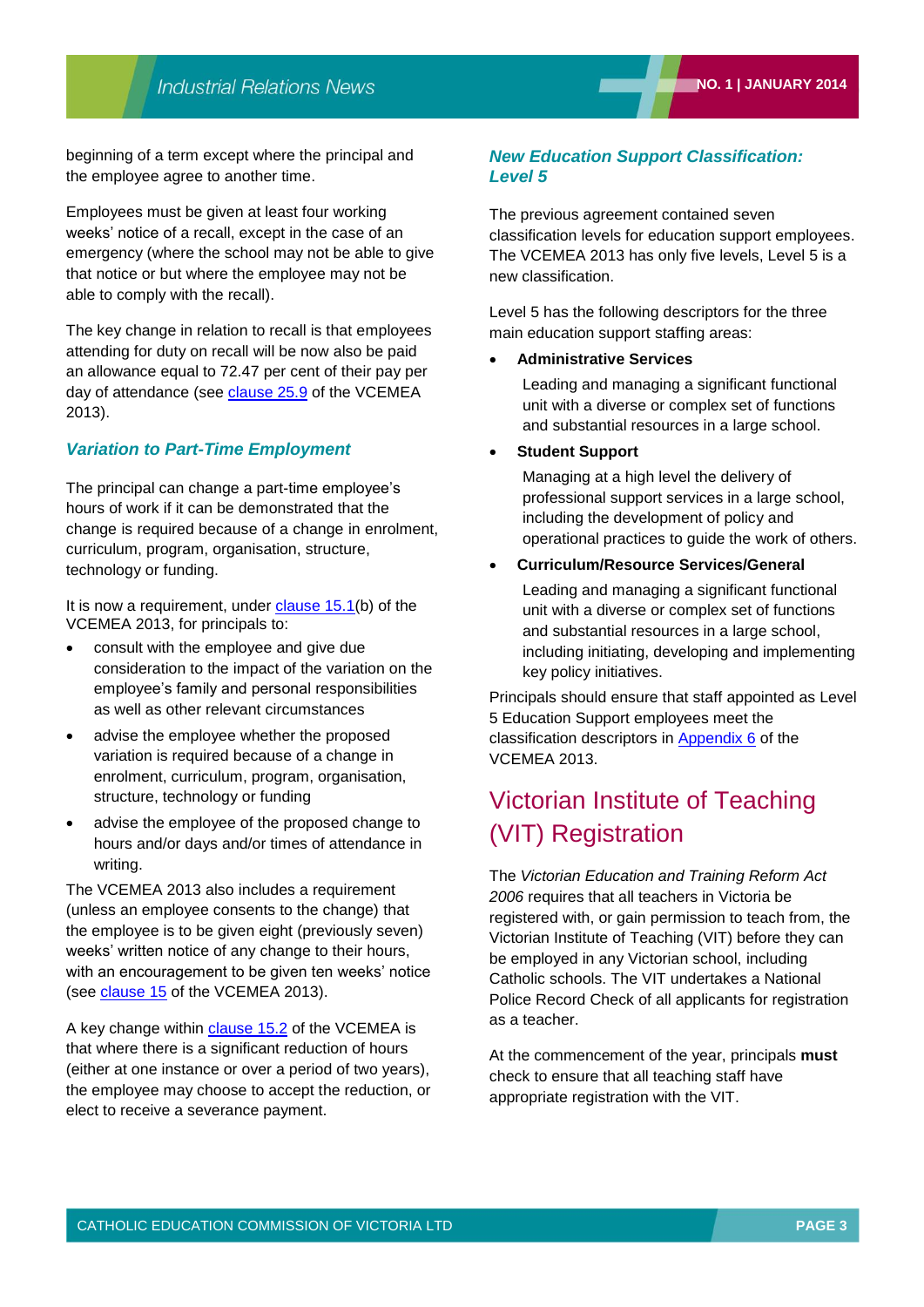beginning of a term except where the principal and the employee agree to another time.

Employees must be given at least four working weeks' notice of a recall, except in the case of an emergency (where the school may not be able to give that notice or but where the employee may not be able to comply with the recall).

The key change in relation to recall is that employees attending for duty on recall will be now also be paid an allowance equal to 72.47 per cent of their pay per day of attendance (see [clause 25.9](http://web.cecv.catholic.edu.au/vcsa/Agreement_2013/VCEMEA_2013.pdf#page=32) of the VCEMEA 2013).

#### *Variation to Part-Time Employment*

The principal can change a part-time employee's hours of work if it can be demonstrated that the change is required because of a change in enrolment, curriculum, program, organisation, structure, technology or funding.

It is now a requirement, under [clause 15.1\(](http://web.cecv.catholic.edu.au/vcsa/Agreement_2013/VCEMEA_2013.pdf#page=23)b) of the VCEMEA 2013, for principals to:

- consult with the employee and give due consideration to the impact of the variation on the employee's family and personal responsibilities as well as other relevant circumstances
- advise the employee whether the proposed variation is required because of a change in enrolment, curriculum, program, organisation, structure, technology or funding
- advise the employee of the proposed change to hours and/or days and/or times of attendance in writing.

The VCEMEA 2013 also includes a requirement (unless an employee consents to the change) that the employee is to be given eight (previously seven) weeks' written notice of any change to their hours, with an encouragement to be given ten weeks' notice (see [clause 15](http://web.cecv.catholic.edu.au/vcsa/Agreement_2013/VCEMEA_2013.pdf#page=23) of the VCEMEA 2013).

A key change within [clause 15.2](http://web.cecv.catholic.edu.au/vcsa/Agreement_2013/VCEMEA_2013.pdf#page=24) of the VCEMEA is that where there is a significant reduction of hours (either at one instance or over a period of two years), the employee may choose to accept the reduction, or elect to receive a severance payment.

### *New Education Support Classification: Level 5*

The previous agreement contained seven classification levels for education support employees. The VCEMEA 2013 has only five levels, Level 5 is a new classification.

Level 5 has the following descriptors for the three main education support staffing areas:

#### **Administrative Services**

Leading and managing a significant functional unit with a diverse or complex set of functions and substantial resources in a large school.

#### **Student Support**

Managing at a high level the delivery of professional support services in a large school, including the development of policy and operational practices to guide the work of others.

#### **Curriculum/Resource Services/General**

Leading and managing a significant functional unit with a diverse or complex set of functions and substantial resources in a large school, including initiating, developing and implementing key policy initiatives.

Principals should ensure that staff appointed as Level 5 Education Support employees meet the classification descriptors in [Appendix](http://web.cecv.catholic.edu.au/vcsa/Agreement_2013/VCEMEA_2013.pdf#page=114) 6 of the VCEMEA 2013.

## Victorian Institute of Teaching (VIT) Registration

The *Victorian Education and Training Reform Act 2006* requires that all teachers in Victoria be registered with, or gain permission to teach from, the Victorian Institute of Teaching (VIT) before they can be employed in any Victorian school, including Catholic schools. The VIT undertakes a National Police Record Check of all applicants for registration as a teacher.

At the commencement of the year, principals **must** check to ensure that all teaching staff have appropriate registration with the VIT.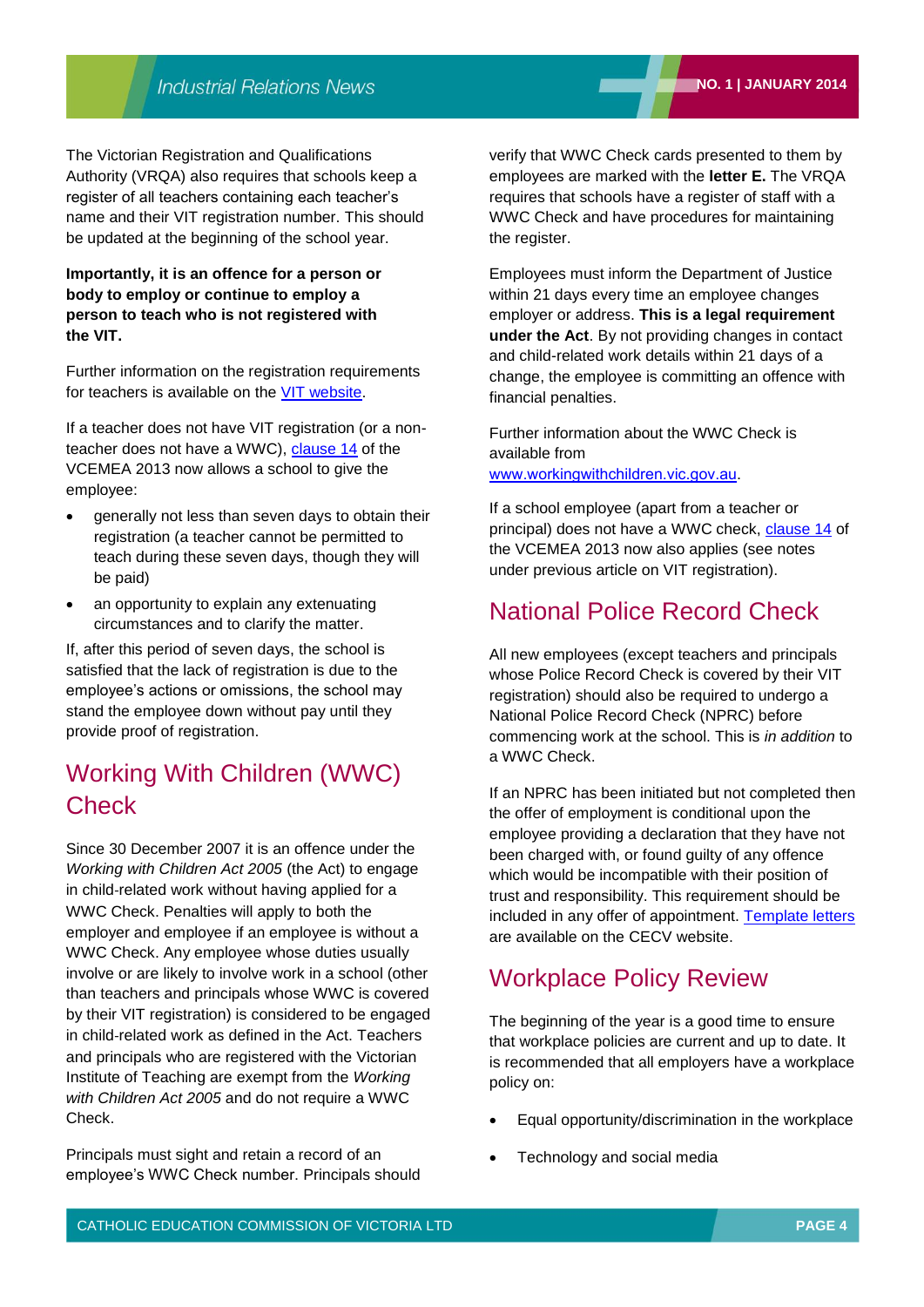The Victorian Registration and Qualifications Authority (VRQA) also requires that schools keep a register of all teachers containing each teacher's name and their VIT registration number. This should be updated at the beginning of the school year.

### **Importantly, it is an offence for a person or body to employ or continue to employ a person to teach who is not registered with the VIT.**

Further information on the registration requirements for teachers is available on the [VIT website.](http://www.vit.vic.edu.au/Pages/default.aspx)

If a teacher does not have VIT registration (or a nonteacher does not have a WWC), [clause 14](http://web.cecv.catholic.edu.au/vcsa/Agreement_2013/VCEMEA_2013.pdf#page=23) of the VCEMEA 2013 now allows a school to give the employee:

- generally not less than seven days to obtain their registration (a teacher cannot be permitted to teach during these seven days, though they will be paid)
- an opportunity to explain any extenuating circumstances and to clarify the matter.

If, after this period of seven days, the school is satisfied that the lack of registration is due to the employee's actions or omissions, the school may stand the employee down without pay until they provide proof of registration.

## Working With Children (WWC) **Check**

Since 30 December 2007 it is an offence under the *Working with Children Act 2005* (the Act) to engage in child‐related work without having applied for a WWC Check. Penalties will apply to both the employer and employee if an employee is without a WWC Check. Any employee whose duties usually involve or are likely to involve work in a school (other than teachers and principals whose WWC is covered by their VIT registration) is considered to be engaged in child‐related work as defined in the Act. Teachers and principals who are registered with the Victorian Institute of Teaching are exempt from the *Working with Children Act 2005* and do not require a WWC Check.

Principals must sight and retain a record of an employee's WWC Check number. Principals should verify that WWC Check cards presented to them by employees are marked with the **letter E.** The VRQA requires that schools have a register of staff with a WWC Check and have procedures for maintaining the register.

Employees must inform the Department of Justice within 21 days every time an employee changes employer or address. **This is a legal requirement under the Act**. By not providing changes in contact and child-related work details within 21 days of a change, the employee is committing an offence with financial penalties.

Further information about the WWC Check is available from [www.workingwithchildren.vic.gov.au.](http://www.workingwithchildren.vic.gov.au/)

If a school employee (apart from a teacher or principal) does not have a WWC check, [clause 14](http://web.cecv.catholic.edu.au/vcsa/Agreement_2013/VCEMEA_2013.pdf#page=23) of the VCEMEA 2013 now also applies (see notes under previous article on VIT registration).

## National Police Record Check

All new employees (except teachers and principals whose Police Record Check is covered by their VIT registration) should also be required to undergo a National Police Record Check (NPRC) before commencing work at the school. This is *in addition* to a WWC Check.

If an NPRC has been initiated but not completed then the offer of employment is conditional upon the employee providing a declaration that they have not been charged with, or found guilty of any offence which would be incompatible with their position of trust and responsibility. This requirement should be included in any offer of appointment. [Template letters](http://web.cecv.catholic.edu.au/vcsa/lettersofappointment/instructions.html) are available on the CECV website.

## Workplace Policy Review

The beginning of the year is a good time to ensure that workplace policies are current and up to date. It is recommended that all employers have a workplace policy on:

- Equal opportunity/discrimination in the workplace
- Technology and social media